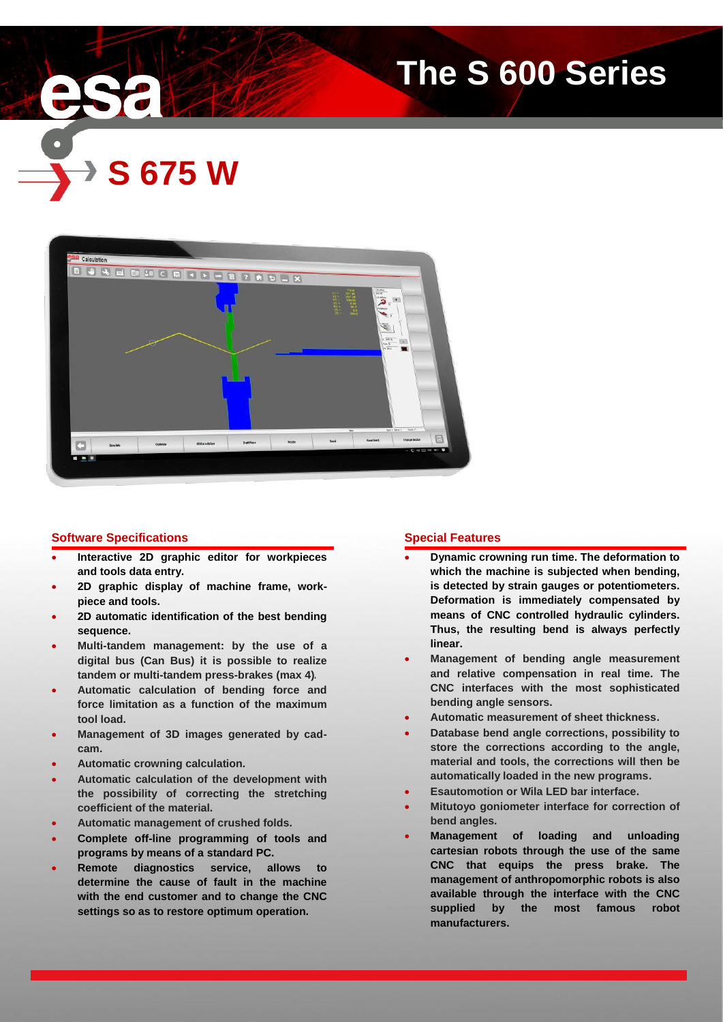

# **The S 600 Series**





# **Software Specifications**

- **Interactive 2D graphic editor for workpieces and tools data entry.**
- **2D graphic display of machine frame, workpiece and tools.**
- **2D automatic identification of the best bending sequence.**
- **Multi-tandem management: by the use of a digital bus (Can Bus) it is possible to realize tandem or multi-tandem press-brakes (max 4).**
- **Automatic calculation of bending force and force limitation as a function of the maximum tool load.**
- **Management of 3D images generated by cadcam.**
- **Automatic crowning calculation.**
- **Automatic calculation of the development with the possibility of correcting the stretching coefficient of the material.**
- **Automatic management of crushed folds.**
- **Complete off-line programming of tools and programs by means of a standard PC.**
- **Remote diagnostics service, allows to determine the cause of fault in the machine with the end customer and to change the CNC settings so as to restore optimum operation.**

# **Special Features**

- **Dynamic crowning run time. The deformation to which the machine is subjected when bending, is detected by strain gauges or potentiometers. Deformation is immediately compensated by means of CNC controlled hydraulic cylinders. Thus, the resulting bend is always perfectly linear.**
- **Management of bending angle measurement and relative compensation in real time. The CNC interfaces with the most sophisticated bending angle sensors.**
- **Automatic measurement of sheet thickness.**
- **Database bend angle corrections, possibility to store the corrections according to the angle, material and tools, the corrections will then be automatically loaded in the new programs.**
- **Esautomotion or Wila LED bar interface.**
- **Mitutoyo goniometer interface for correction of bend angles.**
- **Management of loading and unloading cartesian robots through the use of the same CNC that equips the press brake. The management of anthropomorphic robots is also available through the interface with the CNC supplied by the most famous robot manufacturers.**